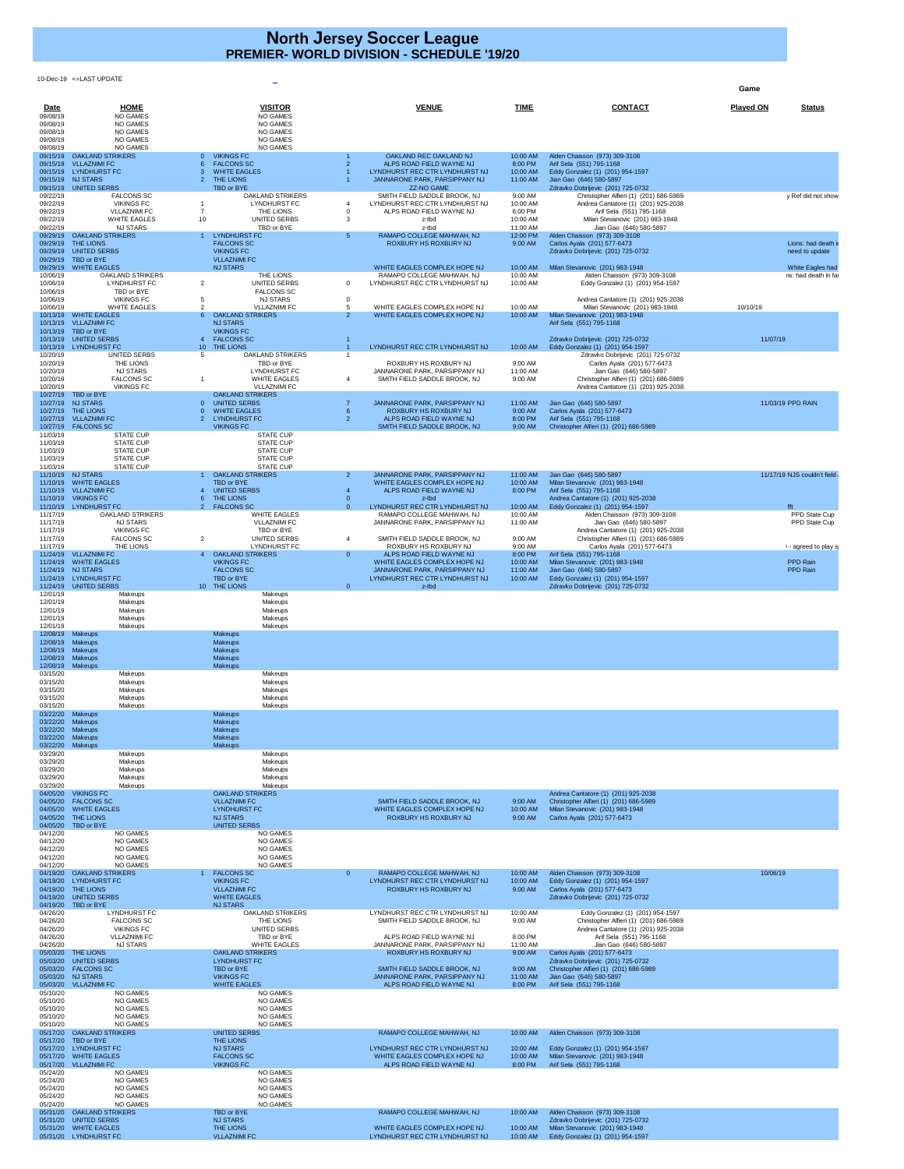10-Dec-19 <=LAST UPDATE

**Game**

| Date<br>09/08/19                 | <b>HOME</b><br><b>NO GAMES</b>                                                                  | <b>VISITOR</b><br><b>NO GAMES</b>                                                    |                | <b>VENUE</b>                                                                                | <b>TIME</b>                     | <b>CONTACT</b>                                                                                    | <b>Played ON</b> | <b>Status</b>                            |
|----------------------------------|-------------------------------------------------------------------------------------------------|--------------------------------------------------------------------------------------|----------------|---------------------------------------------------------------------------------------------|---------------------------------|---------------------------------------------------------------------------------------------------|------------------|------------------------------------------|
| 09/08/19<br>09/08/19<br>09/08/19 | <b>NO GAMES</b><br><b>NO GAMES</b><br><b>NO GAMES</b>                                           | <b>NO GAMES</b><br><b>NO GAMES</b><br><b>NO GAMES</b>                                |                |                                                                                             |                                 |                                                                                                   |                  |                                          |
| 09/08/19<br>09/15/19             | <b>NO GAMES</b><br><b>OAKLAND STRIKERS</b>                                                      | <b>NO GAMES</b><br><b>VIKINGS FC</b><br>$\overline{0}$                               |                | OAKLAND REC OAKLAND NJ                                                                      | 10:00 AM                        | Alden Chaisson (973) 309-3108                                                                     |                  |                                          |
|                                  | 09/15/19 VLLAZNIMI FC<br>09/15/19 LYNDHURST FC<br>09/15/19 NJ STARS                             | <b>FALCONS SC</b><br><b>WHITE EAGLES</b><br>THE LIONS<br>-2                          |                | ALPS ROAD FIELD WAYNE NJ<br>LYNDHURST REC CTR LYNDHURST NJ<br>JANNARONE PARK, PARSIPPANY NJ | 8:00 PM<br>10:00 AM<br>11:00 AM | Arif Sela (551) 795-1168<br>Eddy Gonzalez (1) (201) 954-1597<br>Jian Gao (646) 580-5897           |                  |                                          |
| 09/22/19                         | 09/15/19 UNITED SERBS<br><b>FALCONS SC</b>                                                      | TBD or BYE<br><b>OAKLAND STRIKERS</b>                                                |                | <b>ZZ-NO GAME</b><br>SMITH FIELD SADDLE BROOK, NJ                                           | 9:00 AM                         | Zdravko Dobrijevic (201) 725-0732<br>Christopher Alfieri (1) (201) 686-5989                       |                  | y Ref did not show                       |
| 09/22/19<br>09/22/19             | <b>VIKINGS FC</b><br><b>VLLAZNIMI FC</b>                                                        | <b>LYNDHURST FC</b><br>THE LIONS                                                     |                | LYNDHURST REC CTR LYNDHURST NJ<br>ALPS ROAD FIELD WAYNE NJ                                  | 10:00 AM<br>6:00 PM             | Andrea Cantatore (1) (201) 925-2038<br>Arif Sela (551) 795-1168                                   |                  |                                          |
| 09/22/19<br>09/22/19             | <b>WHITE EAGLES</b><br><b>NJ STARS</b>                                                          | 10<br>UNITED SERBS<br>TBD or BYE                                                     |                | z-tbd<br>z-tbd                                                                              | 10:00 AM<br>11:00 AM            | Milan Stevanovic (201) 983-1948<br>Jian Gao (646) 580-5897                                        |                  |                                          |
|                                  | 09/29/19 OAKLAND STRIKERS<br>09/29/19 THE LIONS<br>09/29/19 UNITED SERBS<br>09/29/19 TBD or BYE | <b>LYNDHURST FC</b><br><b>FALCONS SC</b><br><b>VIKINGS FC</b><br><b>VLLAZNIMI FC</b> | 5              | RAMAPO COLLEGE MAHWAH, NJ<br><b>ROXBURY HS ROXBURY NJ</b>                                   | 12:00 PM<br>9:00 AM             | Alden Chaisson (973) 309-3108<br>Carlos Ayala (201) 577-6473<br>Zdravko Dobrijevic (201) 725-0732 |                  | Lions: had death i<br>need to update     |
| 09/29/19<br>10/06/19             | <b>WHITE EAGLES</b><br><b>OAKLAND STRIKERS</b>                                                  | <b>NJ STARS</b><br>THE LIONS                                                         |                | WHITE EAGLES COMPLEX HOPE NJ<br>RAMAPO COLLEGE MAHWAH, NJ                                   | 10:00 AM<br>10:00 AM            | Milan Stevanovic (201) 983-1948<br>Alden Chaisson (973) 309-3108                                  |                  | White Eagles had<br>ns: had death in far |
| 10/06/19<br>10/06/19             | <b>LYNDHURST FC</b><br>TBD or BYE                                                               | 2<br>UNITED SERBS<br><b>FALCONS SC</b>                                               | $\Omega$       | LYNDHURST REC CTR LYNDHURST NJ                                                              | 10:00 AM                        | Eddy Gonzalez (1) (201) 954-1597                                                                  |                  |                                          |
| 10/06/19<br>10/06/19             | <b>VIKINGS FC</b><br><b>WHITE EAGLES</b>                                                        | <b>NJ STARS</b><br><b>VLLAZNIMI FC</b>                                               | -5             | WHITE EAGLES COMPLEX HOPE NJ                                                                | 10:00 AM                        | Andrea Cantatore (1) (201) 925-2038<br>Milan Stevanovic (201) 983-1948                            | 10/10/19         |                                          |
|                                  | 10/13/19 WHITE EAGLES<br>10/13/19 VLLAZNIMI FC                                                  | <b>OAKLAND STRIKERS</b><br>-6<br><b>NJ STARS</b>                                     | $\overline{2}$ | WHITE EAGLES COMPLEX HOPE NJ                                                                | 10:00 AM                        | Milan Stevanovic (201) 983-1948<br>Arif Sela (551) 795-1168                                       |                  |                                          |
|                                  | 10/13/19 TBD or BYE<br>10/13/19 UNITED SERBS                                                    | <b>VIKINGS FC</b><br><b>FALCONS SC</b>                                               |                |                                                                                             |                                 | Zdravko Dobrijevic (201) 725-0732                                                                 | 11/07/19         |                                          |
| 10/20/19                         | 10/13/19 LYNDHURST FC<br><b>UNITED SERBS</b>                                                    | 10 THE LIONS<br><b>OAKLAND STRIKERS</b><br>.5                                        |                | LYNDHURST REC CTR LYNDHURST NJ                                                              | 10:00 AM                        | Eddy Gonzalez (1) (201) 954-1597<br>Zdravko Dobrijevic (201) 725-0732                             |                  |                                          |
| 10/20/19<br>10/20/19             | THE LIONS<br><b>NJ STARS</b>                                                                    | TBD or BYE<br><b>LYNDHURST FC</b>                                                    |                | ROXBURY HS ROXBURY NJ<br>JANNARONE PARK, PARSIPPANY NJ                                      | 9:00 AM<br>11:00 AM             | Carlos Ayala (201) 577-6473<br>Jian Gao (646) 580-5897                                            |                  |                                          |
| 10/20/19<br>10/20/19             | <b>FALCONS SC</b><br><b>VIKINGS FC</b>                                                          | <b>WHITE EAGLES</b><br><b>VLLAZNIMI FC</b>                                           |                | SMITH FIELD SADDLE BROOK, NJ                                                                | 9:00 AM                         | Christopher Alfieri (1) (201) 686-5989                                                            |                  |                                          |
|                                  | 10/27/19 TBD or BYE<br>10/27/19 NJ STARS                                                        | <b>OAKLAND STRIKERS</b><br><b>UNITED SERBS</b>                                       |                | JANNARONE PARK, PARSIPPANY NJ                                                               |                                 | Andrea Cantatore (1) (201) 925-2038<br>Jian Gao (646) 580-5897                                    |                  | 11/03/19 PPD RAIN                        |
|                                  | 10/27/19 THE LIONS<br>10/27/19 VLLAZNIMI FC                                                     | <b>WHITE EAGLES</b><br>$\Omega$<br><b>LYNDHURST FC</b>                               | $\overline{2}$ | ROXBURY HS ROXBURY NJ                                                                       | 11:00 AM<br>9:00 AM             | Carlos Ayala (201) 577-6473                                                                       |                  |                                          |
|                                  | 10/27/19  FALCONS SC<br><b>STATE CUP</b>                                                        | <b>VIKINGS FC</b><br><b>STATE CUP</b>                                                |                | ALPS ROAD FIELD WAYNE NJ<br>SMITH FIELD SADDLE BROOK, NJ                                    | 8:00 PM<br>9:00 AM              | Arif Sela (551) 795-1168<br>Christopher Alfieri (1) (201) 686-5989                                |                  |                                          |
| 11/03/19<br>11/03/19             | <b>STATE CUP</b>                                                                                | <b>STATE CUP</b>                                                                     |                |                                                                                             |                                 |                                                                                                   |                  |                                          |
| 11/03/19<br>11/03/19             | <b>STATE CUP</b><br><b>STATE CUP</b>                                                            | <b>STATE CUP</b><br><b>STATE CUP</b>                                                 |                |                                                                                             |                                 |                                                                                                   |                  |                                          |
| 11/03/19                         | <b>STATE CUP</b><br>11/10/19 NJ STARS                                                           | <b>STATE CUP</b><br><b>OAKLAND STRIKERS</b>                                          | 2 <sup>1</sup> | JANNARONE PARK, PARSIPPANY NJ                                                               | 11:00 AM                        | Jian Gao (646) 580-5897                                                                           |                  | 11/17/19 NJS couldn't field              |
|                                  | 11/10/19 WHITE EAGLES<br>11/10/19 VLLAZNIMI FC                                                  | TBD or BYE<br><b>UNITED SERBS</b>                                                    |                | WHITE EAGLES COMPLEX HOPE NJ<br>ALPS ROAD FIELD WAYNE NJ                                    | 10:00 AM<br>8:00 PM             | Milan Stevanovic (201) 983-1948<br>Arif Sela (551) 795-1168                                       |                  |                                          |
|                                  | 11/10/19 VIKINGS FC<br>11/10/19 LYNDHURST FC                                                    | THE LIONS<br>-6<br>2 FALCONS SC                                                      | $\Omega$       | z-tbd<br>LYNDHURST REC CTR LYNDHURST NJ                                                     | 10:00 AM                        | Andrea Cantatore (1) (201) 925-2038<br>Eddy Gonzalez (1) (201) 954-1597                           |                  | fft                                      |
| 11/17/19<br>11/17/19             | <b>OAKLAND STRIKERS</b><br><b>NJ STARS</b>                                                      | <b>WHITE EAGLES</b><br><b>VLLAZNIMI FC</b>                                           |                | RAMAPO COLLEGE MAHWAH, NJ<br>JANNARONE PARK, PARSIPPANY NJ                                  | 10:00 AM<br>11:00 AM            | Alden Chaisson (973) 309-3108<br>Jian Gao (646) 580-5897                                          |                  | PPD State Cup<br>PPD State Cup           |
| 11/17/19<br>11/17/19             | <b>VIKINGS FC</b><br><b>FALCONS SC</b>                                                          | TBD or BYE<br><b>UNITED SERBS</b><br>2                                               |                | SMITH FIELD SADDLE BROOK, NJ                                                                | 9:00 AM                         | Andrea Cantatore (1) (201) 925-2038<br>Christopher Alfieri (1) (201) 686-5989                     |                  |                                          |
| 11/17/19                         | THE LIONS<br>11/24/19 VLLAZNIMI FC                                                              | <b>LYNDHURST FC</b><br><b>OAKLAND STRIKERS</b><br>$\overline{4}$                     | $\overline{0}$ | ROXBURY HS ROXBURY NJ<br>ALPS ROAD FIELD WAYNE NJ                                           | 9:00 AM<br>8:00 PM              | Carlos Ayala (201) 577-6473<br>Arif Sela (551) 795-1168                                           |                  | - agreed to play s                       |
|                                  | 11/24/19 WHITE EAGLES<br>11/24/19 NJ STARS                                                      | <b>VIKINGS FC</b><br><b>FALCONS SC</b>                                               |                | WHITE EAGLES COMPLEX HOPE NJ<br>JANNARONE PARK, PARSIPPANY NJ                               | 10:00 AM<br>11:00 AM            | Milan Stevanovic (201) 983-1948<br>Jian Gao (646) 580-5897                                        |                  | PPD Rain<br>PPD Rain                     |
|                                  | 11/24/19 LYNDHURST FC<br>11/24/19 UNITED SERBS                                                  | TBD or BYE<br>10 THE LIONS                                                           | $\overline{0}$ | LYNDHURST REC CTR LYNDHURST NJ<br>z-tbd                                                     | 10:00 AM                        | Eddy Gonzalez (1) (201) 954-1597<br>Zdravko Dobrijevic (201) 725-0732                             |                  |                                          |
| 12/01/19<br>12/01/19             | Makeups<br>Makeups                                                                              | Makeups<br>Makeups                                                                   |                |                                                                                             |                                 |                                                                                                   |                  |                                          |
| 12/01/19<br>12/01/19             | Makeups<br>Makeups                                                                              | Makeups<br>Makeups                                                                   |                |                                                                                             |                                 |                                                                                                   |                  |                                          |
| 12/01/19<br>12/08/19             | Makeups<br>Makeups                                                                              | Makeups<br><b>Makeups</b>                                                            |                |                                                                                             |                                 |                                                                                                   |                  |                                          |
|                                  | 12/08/19 Makeups<br>12/08/19 Makeups                                                            | <b>Makeups</b><br><b>Makeups</b>                                                     |                |                                                                                             |                                 |                                                                                                   |                  |                                          |
|                                  | 12/08/19 Makeups<br>12/08/19 Makeups                                                            | <b>Makeups</b><br><b>Makeups</b>                                                     |                |                                                                                             |                                 |                                                                                                   |                  |                                          |
| 03/15/20<br>03/15/20             | Makeups<br>Makeups                                                                              | Makeups<br>Makeups                                                                   |                |                                                                                             |                                 |                                                                                                   |                  |                                          |
| 03/15/20<br>03/15/20             | Makeups<br>Makeups                                                                              | Makeups<br>Makeups                                                                   |                |                                                                                             |                                 |                                                                                                   |                  |                                          |
| 03/15/20<br>03/22/20             | Makeups<br><b>Makeups</b>                                                                       | Makeups<br><b>Makeups</b>                                                            |                |                                                                                             |                                 |                                                                                                   |                  |                                          |
| 03/22/20<br>03/22/20             | Makeups<br>Makeups                                                                              | <b>Makeups</b><br><b>Makeups</b>                                                     |                |                                                                                             |                                 |                                                                                                   |                  |                                          |
| 03/22/20<br>03/22/20             | Makeups<br><b>Makeups</b>                                                                       | <b>Makeups</b><br><b>Makeups</b>                                                     |                |                                                                                             |                                 |                                                                                                   |                  |                                          |
| 03/29/20<br>03/29/20             | Makeups<br>Makeups                                                                              | Makeups<br>Makeups                                                                   |                |                                                                                             |                                 |                                                                                                   |                  |                                          |
| 03/29/20<br>03/29/20             | Makeups<br>Makeups                                                                              | Makeups<br>Makeups                                                                   |                |                                                                                             |                                 |                                                                                                   |                  |                                          |
| 03/29/20<br>04/05/20             | Makeups<br><b>VIKINGS FC</b>                                                                    | Makeups<br><b>OAKLAND STRIKERS</b>                                                   |                |                                                                                             |                                 | Andrea Cantatore (1) (201) 925-2038                                                               |                  |                                          |
| 04/05/20<br>04/05/20             | <b>FALCONS SC</b><br><b>WHITE EAGLES</b>                                                        | <b>VLLAZNIMI FC</b><br><b>LYNDHURST FC</b>                                           |                | SMITH FIELD SADDLE BROOK, NJ<br>WHITE EAGLES COMPLEX HOPE NJ                                | 9:00 AM<br>10:00 AM             | Christopher Alfieri (1) (201) 686-5989<br>Milan Stevanovic (201) 983-1948                         |                  |                                          |
| 04/05/20<br>04/05/20             | <b>THE LIONS</b><br>TBD or BYE                                                                  | <b>NJ STARS</b><br>UNITED SERBS                                                      |                | <b>ROXBURY HS ROXBURY NJ</b>                                                                | 9:00 AM                         | Carlos Ayala (201) 577-6473                                                                       |                  |                                          |
| 04/12/20<br>04/12/20             | <b>NO GAMES</b><br><b>NO GAMES</b>                                                              | <b>NO GAMES</b><br><b>NO GAMES</b>                                                   |                |                                                                                             |                                 |                                                                                                   |                  |                                          |
| 04/12/20<br>04/12/20             | <b>NO GAMES</b><br><b>NO GAMES</b>                                                              | <b>NO GAMES</b><br><b>NO GAMES</b>                                                   |                |                                                                                             |                                 |                                                                                                   |                  |                                          |
| 04/12/20<br>04/19/20             | <b>NO GAMES</b><br><b>OAKLAND STRIKERS</b>                                                      | <b>NO GAMES</b><br><b>FALCONS SC</b>                                                 | $\overline{0}$ | RAMAPO COLLEGE MAHWAH, NJ                                                                   | 10:00 AM                        | Alden Chaisson (973) 309-3108                                                                     | 10/06/19         |                                          |
| 04/19/20                         | LYNDHURST FC<br>04/19/20 THE LIONS                                                              | <b>VIKINGS FC</b><br><b>VLLAZNIMI FC</b>                                             |                | LYNDHURST REC CTR LYNDHURST NJ<br><b>ROXBURY HS ROXBURY NJ</b>                              | 10:00 AM<br>9:00 AM             | Eddy Gonzalez (1) (201) 954-1597<br>Carlos Ayala (201) 577-6473                                   |                  |                                          |
| 04/19/20                         | 04/19/20 UNITED SERBS<br>TBD or BYE                                                             | <b>WHITE EAGLES</b><br><b>NJ STARS</b>                                               |                |                                                                                             |                                 | Zdravko Dobrijevic (201) 725-0732                                                                 |                  |                                          |
| 04/26/20<br>04/26/20             | <b>LYNDHURST FC</b><br><b>FALCONS SC</b>                                                        | <b>OAKLAND STRIKERS</b><br>THE LIONS                                                 |                | LYNDHURST REC CTR LYNDHURST NJ<br>SMITH FIELD SADDLE BROOK, NJ                              | 10:00 AM<br>9:00 AM             | Eddy Gonzalez (1) (201) 954-1597<br>Christopher Alfieri (1) (201) 686-5989                        |                  |                                          |
| 04/26/20<br>04/26/20             | <b>VIKINGS FC</b><br><b>VLLAZNIMI FC</b>                                                        | UNITED SERBS<br>TBD or BYE                                                           |                | ALPS ROAD FIELD WAYNE NJ                                                                    | 8:00 PM                         | Andrea Cantatore (1) (201) 925-2038<br>Arif Sela (551) 795-1168                                   |                  |                                          |
| 04/26/20                         | <b>NJ STARS</b><br>05/03/20 THE LIONS                                                           | <b>WHITE EAGLES</b><br><b>OAKLAND STRIKERS</b>                                       |                | JANNARONE PARK, PARSIPPANY NJ<br>ROXBURY HS ROXBURY NJ                                      | 11:00 AM<br>9:00 AM             | Jian Gao (646) 580-5897<br>Carlos Ayala (201) 577-6473                                            |                  |                                          |
|                                  | 05/03/20 UNITED SERBS<br>05/03/20  FALCONS SC                                                   | <b>LYNDHURST FC</b><br>TBD or BYE                                                    |                | SMITH FIELD SADDLE BROOK, NJ                                                                | 9:00 AM                         | Zdravko Dobrijevic (201) 725-0732<br>Christopher Alfieri (1) (201) 686-5989                       |                  |                                          |
| 05/03/20                         | 05/03/20 NJ STARS<br><b>VLLAZNIMI FC</b>                                                        | <b>VIKINGS FC</b><br><b>WHITE EAGLES</b>                                             |                | JANNARONE PARK, PARSIPPANY NJ<br>ALPS ROAD FIELD WAYNE NJ                                   | 11:00 AM<br>8:00 PM             | Jian Gao (646) 580-5897<br>Arif Sela (551) 795-1168                                               |                  |                                          |
| 05/10/20<br>05/10/20             | NO GAMES<br>NO GAMES                                                                            | NO GAMES<br><b>NO GAMES</b>                                                          |                |                                                                                             |                                 |                                                                                                   |                  |                                          |
| 05/10/20<br>05/10/20             | <b>NO GAMES</b><br><b>NO GAMES</b>                                                              | <b>NO GAMES</b><br><b>NO GAMES</b>                                                   |                |                                                                                             |                                 |                                                                                                   |                  |                                          |
| 05/10/20                         | <b>NO GAMES</b><br>05/17/20 OAKLAND STRIKERS                                                    | <b>NO GAMES</b><br><b>UNITED SERBS</b>                                               |                | RAMAPO COLLEGE MAHWAH, NJ                                                                   | 10:00 AM                        | Alden Chaisson (973) 309-3108                                                                     |                  |                                          |
| 05/17/20<br>05/17/20             | TBD or BYE<br><b>LYNDHURST FC</b>                                                               | THE LIONS<br><b>NJ STARS</b>                                                         |                | LYNDHURST REC CTR LYNDHURST NJ                                                              | 10:00 AM                        | Eddy Gonzalez (1) (201) 954-1597                                                                  |                  |                                          |
| 05/17/20<br>05/17/20             | <b>WHITE EAGLES</b><br><b>VLLAZNIMI FC</b>                                                      | <b>FALCONS SC</b><br><b>VIKINGS FC</b>                                               |                | WHITE EAGLES COMPLEX HOPE NJ<br>ALPS ROAD FIELD WAYNE NJ                                    | 10:00 AM<br>8:00 PM             | Milan Stevanovic (201) 983-1948<br>Arif Sela (551) 795-1168                                       |                  |                                          |
| 05/24/20                         | NO GAMES                                                                                        | NO GAMES                                                                             |                |                                                                                             |                                 |                                                                                                   |                  |                                          |
| 05/24/20<br>05/24/20             | NO GAMES<br>NO GAMES                                                                            | NO GAMES<br><b>NO GAMES</b>                                                          |                |                                                                                             |                                 |                                                                                                   |                  |                                          |
| 05/24/20<br>05/24/20             | NO GAMES<br>NO GAMES                                                                            | NO GAMES<br><b>NO GAMES</b>                                                          |                |                                                                                             |                                 |                                                                                                   |                  |                                          |
|                                  | 05/31/20 OAKLAND STRIKERS<br>05/31/20 UNITED SERBS                                              | TBD or BYE<br><b>NJ STARS</b>                                                        |                | RAMAPO COLLEGE MAHWAH, NJ                                                                   | 10:00 AM                        | Alden Chaisson (973) 309-3108<br>Zdravko Dobrijevic (201) 725-0732                                |                  |                                          |
|                                  | 05/31/20 WHITE EAGLES<br>05/31/20 LYNDHURST FC                                                  | THE LIONS<br><b>VLLAZNIMI FC</b>                                                     |                | WHITE EAGLES COMPLEX HOPE NJ<br>LYNDHURST REC CTR LYNDHURST NJ                              | 10:00 AM<br>10:00 AM            | Milan Stevanovic (201) 983-1948<br>Eddy Gonzalez (1) (201) 954-1597                               |                  |                                          |

## **North Jersey Soccer League PREMIER- WORLD DIVISION - SCHEDULE '19/20**